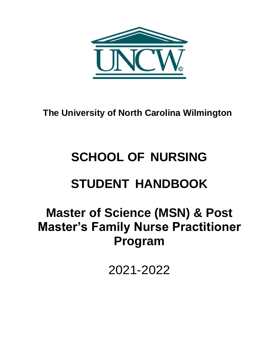

**The University of North Carolina Wilmington**

# **SCHOOL OF NURSING**

# **STUDENT HANDBOOK**

# **Master of Science (MSN) & Post Master's Family Nurse Practitioner Program**

2021-2022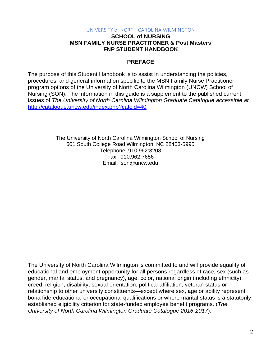#### UNIVERSITY of NORTH CAROLINA WILMINGTON

#### **SCHOOL of NURSING MSN FAMILY NURSE PRACTITONER & Post Masters FNP STUDENT HANDBOOK**

#### **PREFACE**

The purpose of this Student Handbook is to assist in understanding the policies, procedures, and general information specific to the MSN Family Nurse Practitioner program options of the University of North Carolina Wilmington (UNCW) School of Nursing (SON). The information in this guide is a supplement to the published current issues of *The University of North Carolina Wilmington Graduate Catalogue accessible at*  <http://catalogue.uncw.edu/index.php?catoid=40>

> The University of North Carolina Wilmington School of Nursing 601 South College Road Wilmington, NC 28403-5995 Telephone: 910:962:3208 Fax: 910:962:7656 Email: [son@uncw.edu](mailto:son@uncw.edu)

The University of North Carolina Wilmington is committed to and will provide equality of educational and employment opportunity for all persons regardless of race, sex (such as gender, marital status, and pregnancy), age, color, national origin (including ethnicity), creed, religion, disability, sexual orientation, political affiliation, veteran status or relationship to other university constituents—except where sex, age or ability represent bona fide educational or occupational qualifications or where marital status is a statutorily established eligibility criterion for state-funded employee benefit programs. (*The University of North Carolina Wilmington Graduate Catalogue 2016-2017*).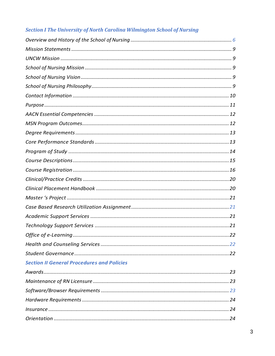# **Section I The University of North Carolina Wilmington School of Nursing**

| . 22                                              |  |  |  |
|---------------------------------------------------|--|--|--|
|                                                   |  |  |  |
|                                                   |  |  |  |
| <b>Section II General Procedures and Policies</b> |  |  |  |
|                                                   |  |  |  |
|                                                   |  |  |  |
|                                                   |  |  |  |
|                                                   |  |  |  |
|                                                   |  |  |  |
|                                                   |  |  |  |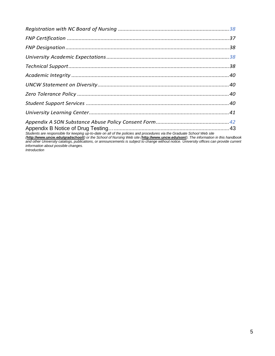| Students are responsible for keeping up-to-date on all of the policies and procedures via the Graduate School Web site       |  |
|------------------------------------------------------------------------------------------------------------------------------|--|
| Attribution upon odularadeabool) or the School of Nursing Web oite Attribution upon oduloan). The information in this bondhe |  |

*(***[http://www.uncw.edu/gradschool/](http://www.uncw.edu/gradschool/))***) or the School of Nursing Web site (***[http://www.uncw.edu/son/](http://www.uncw.edu/son/))***). The information in this handbook and other University catalogs, publications, or announcements is subject to change without notice. University offices can provide current information about possible changes.*

*Introduction*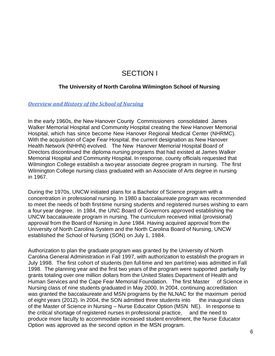# SECTION I

#### **The University of North Carolina Wilmington School of Nursing**

#### <span id="page-5-0"></span>*Overview and History of the School of Nursing*

In the early 1960s, the New Hanover County Commissioners consolidated James Walker Memorial Hospital and Community Hospital creating the New Hanover Memorial Hospital, which has since become New Hanover Regional Medical Center (NHRMC). With the acquisition of Cape Fear Hospital, the current designation as New Hanover Health Network (NHHN) evolved. The New Hanover Memorial Hospital Board of Directors discontinued the diploma nursing programs that had existed at James Walker Memorial Hospital and Community Hospital. In response, county officials requested that Wilmington College establish a two-year associate degree program in nursing. The first Wilmington College nursing class graduated with an Associate of Arts degree in nursing in 1967.

During the 1970s, UNCW initiated plans for a Bachelor of Science program with a concentration in professional nursing. In 1980 a baccalaureate program was recommended to meet the needs of both first-time nursing students and registered nurses wishing to earn a four-year degree. In 1984, the UNC Board of Governors approved establishing the UNCW baccalaureate program in nursing. The curriculum received initial (provisional) approval from the Board of Nursing in June 1984. Having acquired approval from the University of North Carolina System and the North Carolina Board of Nursing, UNCW established the School of Nursing (SON) on July 1, 1984.

Authorization to plan the graduate program was granted by the University of North Carolina General Administration in Fall 1997, with authorization to establish the program in July 1998. The first cohort of students (ten full-time and ten part-time) was admitted in Fall 1998. The planning year and the first two years of the program were supported partially by grants totaling over one million dollars from the United States Department of Health and Human Services and the Cape Fear Memorial Foundation. The first Master of Science in Nursing class of nine students graduated in May 2000. In 2004, continuing accreditation was granted the baccalaureate and MSN programs by the NLNAC for the maximum period of eight years (2012). In 2004, the SON admitted three students into the inaugural class of the Master of Science in Nursing – Nurse Educator Option (MSN NE). In response to the critical shortage of registered nurses in professional practice, and the need to produce more faculty to accommodate increased student enrollment, the Nurse Educator Option was approved as the second option in the MSN program.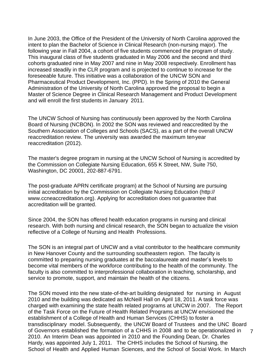In June 2003, the Office of the President of the University of North Carolina approved the intent to plan the Bachelor of Science in Clinical Research (non-nursing major). The following year in Fall 2004, a cohort of five students commenced the program of study. This inaugural class of five students graduated in May 2006 and the second and third cohorts graduated nine in May 2007 and nine in May 2008 respectively. Enrollment has increased steadily in the CLR program and is projected to continue to increase for the foreseeable future. This initiative was a collaboration of the UNCW SON and Pharmaceutical Product Development, Inc. (PPD). In the Spring of 2010 the General Administration of the University of North Carolina approved the proposal to begin a Master of Science Degree in Clinical Research Management and Product Development and will enroll the first students in January 2011.

The UNCW School of Nursing has continuously been approved by the North Carolina Board of Nursing (NCBON). In 2002 the SON was reviewed and reaccredited by the Southern Association of Colleges and Schools (SACS), as a part of the overall UNCW reaccreditation review. The university was awarded the maximum ten-year reaccreditation (2012).

The master's degree program in nursing at the UNCW School of Nursing is accredited by the Commission on Collegiate Nursing Education, 655 K Street, NW, Suite 750, Washington, DC 20001, 202-887-6791.

The post-graduate APRN certificate program) at the School of Nursing are pursuing initial accreditation by the Commission on Collegiate Nursing Education (http:// www.ccneaccreditation.org). Applying for accreditation does not guarantee that accreditation will be granted.

Since 2004, the SON has offered health education programs in nursing and clinical research. With both nursing and clinical research, the SON began to actualize the vision reflective of a College of Nursing and Health Professions.

The SON is an integral part of UNCW and a vital contributor to the healthcare community in New Hanover County and the surrounding southeastern region. The faculty is committed to preparing nursing graduates at the baccalaureate and master's levels to become vital members of the workforce contributing to the health of the community. The faculty is also committed to interprofessional collaboration in teaching, scholarship, and service to promote, support, and maintain the health of the citizens.

The SON moved into the new state-of-the-art building designated for nursing in August 2010 and the building was dedicated as McNeill Hall on April 18, 2011. A task force was charged with examining the state health related programs at UNCW in 2007. The Report of the Task Force on the Future of Health Related Programs at UNCW envisioned the establishment of a College of Health and Human Services (CHHS) to foster a transdisciplinary model. Subsequently, the UNCW Board of Trustees and the UNC Board of Governors established the formation of a CHHS in 2008 and to be operationalized in  $7$ 2010. An Interim Dean was appointed in 2010 and the Founding Dean, Dr. Charles Hardy, was appointed July 1, 2011. The CHHS includes the School of Nursing, the School of Health and Applied Human Sciences, and the School of Social Work. In March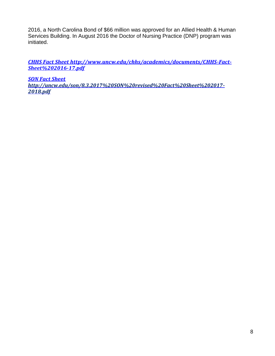2016, a North Carolina Bond of \$66 million was approved for an Allied Health & Human Services Building. In August 2016 the Doctor of Nursing Practice (DNP) program was initiated.

*CHHS Fact Sheet<http://www.uncw.edu/chhs/academics/documents/CHHS>‐Fact‐ Sheet%202016‐17.pdf*

*SON Fact Sheet <http://uncw.edu/son/8.3.2017%20SON%20revised%20Fact%20Sheet%202017>‐ 2018.pdf*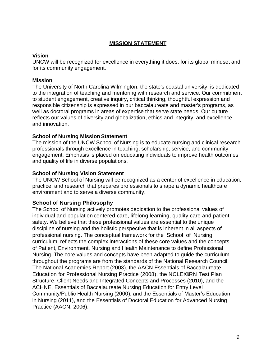## **MISSION STATEMENT**

#### **Vision**

UNCW will be recognized for excellence in everything it does, for its global mindset and for its community engagement.

## **Mission**

The University of North Carolina Wilmington, the state's coastal university, is dedicated to the integration of teaching and mentoring with research and service. Our commitment to student engagement, creative inquiry, critical thinking, thoughtful expression and responsible citizenship is expressed in our baccalaureate and master's programs, as well as doctoral programs in areas of expertise that serve state needs. Our culture reflects our values of diversity and globalization, ethics and integrity, and excellence and innovation.

## **School of Nursing Mission Statement**

The mission of the UNCW School of Nursing is to educate nursing and clinical research professionals through excellence in teaching, scholarship, service, and community engagement. Emphasis is placed on educating individuals to improve health outcomes and quality of life in diverse populations.

## **School of Nursing Vision Statement**

The UNCW School of Nursing will be recognized as a center of excellence in education, practice, and research that prepares professionals to shape a dynamic healthcare environment and to serve a diverse community.

# <span id="page-8-0"></span>**School of Nursing Philosophy**

The School of Nursing actively promotes dedication to the professional values of individual and population-centered care, lifelong learning, quality care and patient safety. We believe that these professional values are essential to the unique discipline of nursing and the holistic perspective that is inherent in all aspects of professional nursing. The conceptual framework for the School of Nursing curriculum reflects the complex interactions of these core values and the concepts of Patient, Environment, Nursing and Health Maintenance to define Professional Nursing. The core values and concepts have been adapted to guide the curriculum throughout the programs are from the standards of the National Research Council, The National Academies Report (2003), the AACN Essentials of Baccalaureate Education for Professional Nursing Practice (2008), the NCLEXNRN Test Plan Structure, Client Needs and Integrated Concepts and Processes (2010), and the ACHNE, Essentials of Baccalaureate Nursing Education for Entry Level Community/Public Health Nursing (2000), and the Essentials of Master's Education in Nursing (2011), and the Essentials of Doctoral Education for Advanced Nursing Practice (AACN, 2006).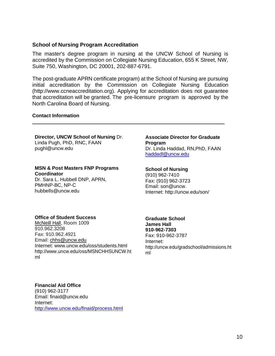#### **School of Nursing Program Accreditation**

The master's degree program in nursing at the UNCW School of Nursing is accredited by the Commission on Collegiate Nursing Education, 655 K Street, NW, Suite 750, Washington, DC 20001, 202-887-6791.

The post-graduate APRN certificate program) at the School of Nursing are pursuing initial accreditation by the Commission on Collegiate Nursing Education (http://www.ccneaccreditation.org). Applying for accreditation does not guarantee that accreditation will be granted. The pre-licensure program is approved by the North Carolina Board of Nursing.

#### **Contact Information**

#### **Director, UNCW School of Nursing** Dr.

Linda Pugh, PhD, RNC, FAAN [pughl@uncw.edu](mailto:pughl@uncw.edu)

#### **MSN & Post Masters FNP Programs Coordinator**

Dr. Sara L. Hubbell DNP, APRN, PMHNP-BC, NP-C hubbells@uncw.edu

## **Associate Director for Graduate Program**

Dr. Linda Haddad, RN,PhD, FAAN [haddadl@uncw.edu](mailto:haddadl@uncw.edu)

#### **School of Nursing**

(910) 962-7410 Fax: (910) 962-3723 Email: son@uncw. Internet:<http://uncw.edu/son/>

#### **Office of Student Success**

McNeill Hall, Room 1009 910.962.3208 Fax: 910.962.4921 Email: [chhs@uncw.edu](mailto:chhs@uncw.edu) Internet: [www.uncw.edu/oss/students.html](http://www.uncw.edu/oss/students.html) <http://www.uncw.edu/oss/MSNCHHSUNCW.ht> ml

# **Graduate School**

**James Hall 910-962-7303** Fax: 910-962-3787 Internet: <http://uncw.edu/gradschool/admissions.ht> ml

#### **Financial Aid Office**

(910) 962-3177 Email: [finaid@uncw.edu](mailto:finaid@uncw.edu) Internet: <http://www.uncw.edu/finaid/process.html>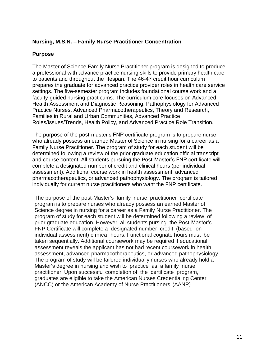#### **Nursing, M.S.N. – Family Nurse Practitioner Concentration**

#### **Purpose**

The Master of Science Family Nurse Practitioner program is designed to produce a professional with advance practice nursing skills to provide primary health care to patients and throughout the lifespan. The 46-47 credit hour curriculum prepares the graduate for advanced practice provider roles in health care service settings. The five-semester program includes foundational course work and a faculty-guided nursing practicums. The curriculum core focuses on Advanced Health Assessment and Diagnostic Reasoning, Pathophysiology for Advanced Practice Nurses, Advanced Pharmacotherapeutics, Theory and Research, Families in Rural and Urban Communities, Advanced Practice Roles/Issues/Trends, Health Policy, and Advanced Practice Role Transition.

The purpose of the post-master's FNP certificate program is to prepare nurse who already possess an earned Master of Science in nursing for a career as a Family Nurse Practitioner. The program of study for each student will be determined following a review of the prior graduate education official transcript and course content. All students pursuing the Post-Master's FNP certificate will complete a designated number of credit and clinical hours (per individual assessment). Additional course work in health assessment, advanced pharmacotherapeutics, or advanced pathophysiology. The program is tailored individually for current nurse practitioners who want the FNP certificate.

The purpose of the post-Master's family nurse practitioner certificate program is to prepare nurses who already possess an earned Master of Science degree in nursing for a career as a Family Nurse Practitioner. The program of study for each student will be determined following a review of prior graduate education. However, all students pursing the Post-Master's FNP Certificate will complete a designated number credit (based on individual assessment) clinical hours. Functional cognate hours must be taken sequentially. Additional coursework may be required if educational assessment reveals the applicant has not had recent coursework in health assessment, advanced pharmacotherapeutics, or advanced pathophysiology. The program of study will be tailored individually nurses who already hold a Master's degree in nursing and wish to practice as a family nurse practitioner. Upon successful completion of the certificate program, graduates are eligible to take the American Nurses Credentialing Center (ANCC) or the American Academy of Nurse Practitioners (AANP)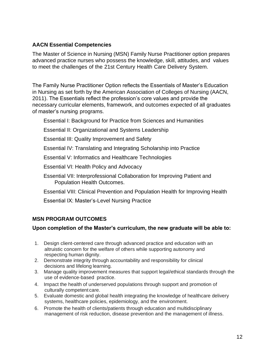## <span id="page-11-0"></span>**AACN Essential Competencies**

The Master of Science in Nursing (MSN) Family Nurse Practitioner option prepares advanced practice nurses who possess the knowledge, skill, attitudes, and values to meet the challenges of the 21st Century Health Care Delivery System.

The Family Nurse Practitioner Option reflects the Essentials of Master's Education in Nursing as set forth by the American Association of Colleges of Nursing (AACN, 2011). The Essentials reflect the profession's core values and provide the necessary curricular elements, framework, and outcomes expected of all graduates of master's nursing programs.

Essential I: Background for Practice from Sciences and Humanities

Essential II: Organizational and Systems Leadership

Essential III: Quality Improvement and Safety

Essential IV: Translating and Integrating Scholarship into Practice

Essential V: Informatics and Healthcare Technologies

Essential VI: Health Policy and Advocacy

Essential VII: Interprofessional Collaboration for Improving Patient and Population Health Outcomes.

Essential VIII: Clinical Prevention and Population Health for Improving Health

Essential IX: Master's-Level Nursing Practice

# <span id="page-11-1"></span>**MSN PROGRAM OUTCOMES**

## **Upon completion of the Master's curriculum, the new graduate will be able to:**

- 1. Design client-centered care through advanced practice and education with an altruistic concern for the welfare of others while supporting autonomy and respecting human dignity.
- 2. Demonstrate integrity through accountability and responsibility for clinical decisions and lifelong learning.
- 3. Manage quality improvement measures that support legal/ethical standards through the use of evidence-based practice.
- 4. Impact the health of underserved populations through support and promotion of culturally competent care.
- 5. Evaluate domestic and global health integrating the knowledge of healthcare delivery systems, healthcare policies, epidemiology, and the environment.
- 6. Promote the health of clients/patients through education and multidisciplinary management of risk reduction, disease prevention and the management of illness.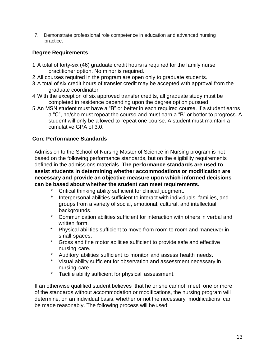7. Demonstrate professional role competence in education and advanced nursing practice.

# <span id="page-12-0"></span>**Degree Requirements**

- 1 A total of forty-six (46) graduate credit hours is required for the family nurse practitioner option. No minor is required.
- 2 All courses required in the program are open only to graduate students.
- 3 A total of six credit hours of transfer credit may be accepted with approval from the graduate coordinator.
- 4 With the exception of six approved transfer credits, all graduate study must be completed in residence depending upon the degree option pursued.
- 5 An MSN student must have a "B" or better in each required course. If a student earns a "C", he/she must repeat the course and must earn a "B" or better to progress. A student will only be allowed to repeat one course. A student must maintain a cumulative GPA of 3.0.

# <span id="page-12-1"></span>**Core Performance Standards**

Admission to the School of Nursing Master of Science in Nursing program is not based on the following performance standards, but on the eligibility requirements defined in the admissions materials. **The performance standards are used to assist students in determining whether accommodations or modification are necessary and provide an objective measure upon which informed decisions can be based about whether the student can meetrequirements.**

- Critical thinking ability sufficient for clinical judgment.
- \* Interpersonal abilities sufficient to interact with individuals, families, and groups from a variety of social, emotional, cultural, and intellectual backgrounds.
- \* Communication abilities sufficient for interaction with others in verbal and written form.
- \* Physical abilities sufficient to move from room to room and maneuver in small spaces.
- \* Gross and fine motor abilities sufficient to provide safe and effective nursing care.
- Auditory abilities sufficient to monitor and assess health needs.
- \* Visual ability sufficient for observation and assessment necessary in nursing care.
- \* Tactile ability sufficient for physical assessment.

If an otherwise qualified student believes that he or she cannot meet one or more of the standards without accommodation or modifications, the nursing program will determine, on an individual basis, whether or not the necessary modifications can be made reasonably. The following process will beused: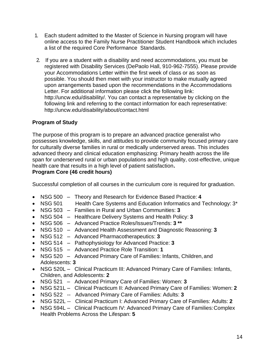- 1. Each student admitted to the Master of Science in Nursing program will have online access to the Family Nurse Practitioner Student Handbook which includes a list of the required Core Performance Standards.
- 2. If you are a student with a disability and need accommodations, you must be registered with Disability Services (DePaolo Hall, 910-962-7555). Please provide your Accommodations Letter within the first week of class or as soon as possible. You should then meet with your instructor to make mutually agreed upon arrangements based upon the recommendations in the Accommodations Letter. For additional information please click the following link: [http://uncw.edu/disability/. Y](http://uncw.edu/disability/)ou can contact a representative by clicking on the following link and referring to the contact information for each representative: <http://uncw.edu/disability/about/contact.html>

# <span id="page-13-0"></span>**Program of Study**

The purpose of this program is to prepare an advanced practice generalist who possesses knowledge, skills, and attitudes to provide community focused primary care for culturally diverse families in rural or medically underserved areas. This includes advanced theory and clinical education emphasizing: Primary health across the life span for underserved rural or urban populations and high quality, cost-effective, unique health care that results in a high level of patient satisfaction**.**

# **Program Core (46 credit hours)**

Successful completion of all courses in the curriculum core is required for graduation.

- NSG 500 Theory and Research for Evidence Based Practice: **4**
- NSG 501 Health Care Systems and Education Informatics and Technology: 3\*
- NSG 503 Families in Rural and Urban Communities: **3**
- NSG 504 Healthcare Delivery Systems and Health Policy: **3**
- NSG 506 Advanced Practice Roles/Issues/Trends: **3 \*\***
- NSG 510 Advanced Health Assessment and Diagnostic Reasoning: **3**
- NSG 512 Advanced Pharmacotherapeutics: **3**
- NSG 514 Pathophysiology for Advanced Practice: **3**
- NSG 515 Advanced Practice Role Transition: **1**
- NSG 520 Advanced Primary Care of Families: Infants, Children, and Adolescents: **3**
- NSG 520L Clinical Practicum III: Advanced Primary Care of Families: Infants, Children, and Adolescents: **2**
- NSG 521 Advanced Primary Care of Families: Women: **3**
- NSG 521L Clinical Practicum II: Advanced Primary Care of Families: Women: **2**
- NSG 522 -- Advanced Primary Care of Families: Adults: **3**
- NSG 522L -- Clinical Practicum I: Advanced Primary Care of Families: Adults: **2**
- NSG 594L Clinical Practicum IV: Advanced Primary Care of Families: Complex Health Problems Across the Lifespan: **5**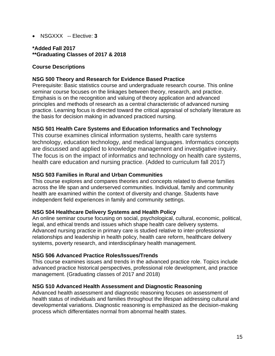• NSGXXX -- Elective: **3**

**\*Added Fall 2017 \*\*Graduating Classes of 2017 & 2018** 

#### **Course Descriptions**

#### **NSG 500 Theory and Research for Evidence Based Practice**

Prerequisite: Basic statistics course and undergraduate research course. This online seminar course focuses on the linkages between theory, research, and practice. Emphasis is on the recognition and valuing of theory application and advanced principles and methods of research as a central characteristic of advanced nursing practice. Learning focus is directed toward the critical appraisal of scholarly literature as the basis for decision making in advanced practiced nursing.

#### **NSG 501 Health Care Systems and Education Informatics and Technology**

This course examines clinical information systems, health care systems technology, education technology, and medical languages. Informatics concepts are discussed and applied to knowledge management and investigative inquiry. The focus is on the impact of informatics and technology on health care systems, health care education and nursing practice. (Added to curriculum fall 2017)

#### **NSG 503 Families in Rural and Urban Communities**

This course explores and compares theories and concepts related to diverse families across the life span and underserved communities. Individual, family and community health are examined within the context of diversity and change. Students have independent field experiences in family and community settings.

#### **NSG 504 Healthcare Delivery Systems and Health Policy**

An online seminar course focusing on social, psychological, cultural, economic, political, legal, and ethical trends and issues which shape health care delivery systems. Advanced nursing practice in primary care is studied relative to inter-professional relationships and leadership in health policy, health care reform, healthcare delivery systems, poverty research, and interdisciplinary health management.

#### **NSG 506 Advanced Practice Roles/Issues/Trends**

This course examines issues and trends in the advanced practice role. Topics include advanced practice historical perspectives, professional role development, and practice management. (Graduating classes of 2017 and 2018)

#### **NSG 510 Advanced Health Assessment and Diagnostic Reasoning**

Advanced health assessment and diagnostic reasoning focuses on assessment of health status of individuals and families throughout the lifespan addressing cultural and developmental variations. Diagnostic reasoning is emphasized as the decision-making process which differentiates normal from abnormal health states.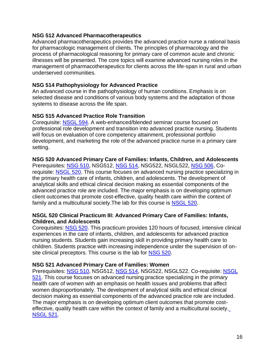#### **NSG 512 Advanced Pharmacotherapeutics**

Advanced pharmacotherapeutics provides the advanced practice nurse a rational basis for pharmacologic management of clients. The principles of pharmacology and the process of pharmacological reasoning for primary care of common acute and chronic illnesses will be presented. The core topics will examine advanced nursing roles in the management of pharmacotherapeutics for clients across the life-span in rural and urban underserved communities.

#### **NSG 514 Pathophysiology for Advanced Practice**

An advanced course in the pathophysiology of human conditions. Emphasis is on selected disease and conditions of various body systems and the adaptation of those systems to disease across the life span.

## **NSG 515 Advanced Practice Role Transition**

Corequisite: NSGL 594. A web-enhanced/blended seminar course focused on professional role development and transition into advanced practice nursing. Students will focus on evaluation of core competency attainment, professional portfolio development, and marketing the role of the advanced practice nurse in a primary care setting.

#### **NSG 520 Advanced Primary Care of Families: Infants, Children, and Adolescents**

Prerequisites: NSG 510, NSG512, NSG 514, NSG522, NSGL522, NSG 506, Corequisite: NSGL 520. This course focuses on advanced nursing practice specializing in the primary health care of infants, children, and adolescents. The development of analytical skills and ethical clinical decision making as essential components of the advanced practice role are included. The major emphasis is on developing optimum client outcomes that promote cost-effective, quality health care within the context of family and a multicultural society. The lab for this course is NSGL 520.

#### **NSGL 520 Clinical Practicum III: Advanced Primary Care of Families: Infants, Children, and Adolescents**

Corequisites: NSG 520. This practicum provides 120 hours of focused, intensive clinical experiences in the care of infants, children, and adolescents for advanced practice nursing students. Students gain increasing skill in providing primary health care to children. Students practice with increasing independence under the supervision of onsite clinical preceptors. This course is the lab for NSG 520.

## **NSG 521 Advanced Primary Care of Families: Women**

Prerequisites: NSG 510, NSG512, NSG 514, NSG522, NSGL522. Co-requisite: NSGL 521. This course focuses on advanced nursing practice specializing in the primary health care of women with an emphasis on health issues and problems that affect women disproportionately. The development of analytical skills and ethical clinical decision making as essential components of the advanced practice role are included. The major emphasis is on developing optimum client outcomes that promote costeffective, quality health care within the context of family and a multicultural society. NSGL 521.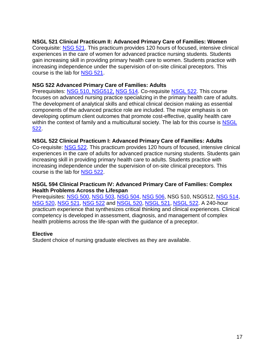#### **NSGL 521 Clinical Practicum II: Advanced Primary Care of Families: Women**

Corequisite: NSG 521. This practicum provides 120 hours of focused, intensive clinical experiences in the care of women for advanced practice nursing students. Students gain increasing skill in providing primary health care to women. Students practice with increasing independence under the supervision of on-site clinical preceptors. This course is the lab for NSG 521.

#### **NSG 522 Advanced Primary Care of Families: Adults**

Prerequisites: NSG 510, NSG512, NSG 514. Co-requisite NSGL 522. This course focuses on advanced nursing practice specializing in the primary health care of adults. The development of analytical skills and ethical clinical decision making as essential components of the advanced practice role are included. The major emphasis is on developing optimum client outcomes that promote cost-effective, quality health care within the context of family and a multicultural society. The lab for this course is NSGL 522.

#### **NSGL 522 Clinical Practicum I: Advanced Primary Care of Families: Adults**

Co-requisite: NSG 522. This practicum provides 120 hours of focused, intensive clinical experiences in the care of adults for advanced practice nursing students. Students gain increasing skill in providing primary health care to adults. Students practice with increasing independence under the supervision of on-site clinical preceptors. This course is the lab for NSG 522.

#### **NSGL 594 Clinical Practicum IV: Advanced Primary Care of Families: Complex Health Problems Across the Lifespan**

Prerequisites: NSG 500, NSG 503, NSG 504, NSG 506, NSG 510, NSG512, NSG 514, NSG 520, NSG 521, NSG 522 and NSGL 520, NSGL 521, NSGL 522. A 240-hour practicum experience that synthesizes critical thinking and clinical experiences. Clinical competency is developed in assessment, diagnosis, and management of complex health problems across the life-span with the guidance of a preceptor.

#### **Elective**

Student choice of nursing graduate electives as they are available.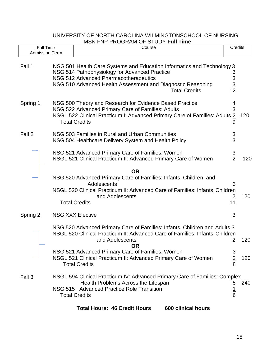|                                           |  | <b>ועוזור וווט ויטט ויט ויידארט</b> ווי וויז ויידארט                                                                                                                                                                                                    |                                                  |     |
|-------------------------------------------|--|---------------------------------------------------------------------------------------------------------------------------------------------------------------------------------------------------------------------------------------------------------|--------------------------------------------------|-----|
| <b>Full Time</b><br><b>Admission Term</b> |  | Course                                                                                                                                                                                                                                                  | Credits                                          |     |
| Fall 1                                    |  | NSG 501 Health Care Systems and Education Informatics and Technology 3<br>NSG 514 Pathophysiology for Advanced Practice<br>NSG 512 Advanced Pharmacotherapeutics<br>NSG 510 Advanced Health Assessment and Diagnostic Reasoning<br><b>Total Credits</b> | 3<br>$\begin{array}{c} 3 \\ 3 \\ 12 \end{array}$ |     |
| Spring 1                                  |  | NSG 500 Theory and Research for Evidence Based Practice<br>NSG 522 Advanced Primary Care of Families: Adults<br>NSGL 522 Clinical Practicum I: Advanced Primary Care of Families: Adults 2<br><b>Total Credits</b>                                      | 4<br>3<br>9                                      | 120 |
| Fall 2                                    |  | NSG 503 Families in Rural and Urban Communities<br>NSG 504 Healthcare Delivery System and Health Policy                                                                                                                                                 | 3<br>3                                           |     |
|                                           |  | NSG 521 Advanced Primary Care of Families: Women<br>NSGL 521 Clinical Practicum II: Advanced Primary Care of Women                                                                                                                                      | 3<br>$\overline{2}$                              | 120 |
|                                           |  | <b>OR</b><br>NSG 520 Advanced Primary Care of Families: Infants, Children, and<br>Adolescents<br>NSGL 520 Clinical Practicum II: Advanced Care of Families: Infants, Children<br>and Adolescents<br><b>Total Credits</b>                                | 3<br>$\overline{2}$<br>11                        | 120 |
| Spring 2                                  |  | <b>NSG XXX Elective</b>                                                                                                                                                                                                                                 | 3                                                |     |
|                                           |  | NSG 520 Advanced Primary Care of Families: Infants, Children and Adults 3<br>NSGL 520 Clinical Practicum II: Advanced Care of Families: Infants, Children<br>and Adolescents<br><b>OR</b><br>NSG 521 Advanced Primary Care of Families: Women           | 2<br>3                                           | 120 |
|                                           |  | NSGL 521 Clinical Practicum II: Advanced Primary Care of Women<br><b>Total Credits</b>                                                                                                                                                                  | $\overline{2}$<br>8                              | 120 |
| Fall 3                                    |  | NSGL 594 Clinical Practicum IV: Advanced Primary Care of Families: Complex<br>Health Problems Across the Lifespan<br>NSG 515 Advanced Practice Role Transition<br><b>Total Credits</b>                                                                  | 5<br>$\frac{1}{6}$                               | 240 |

## UNIVERSITY OF NORTH CAROLINA WILMINGTONSCHOOL OF NURSING MSN FNP PROGRAM OF STUDY **Full Time**

**Total Hours: 46 Credit Hours 600 clinical hours**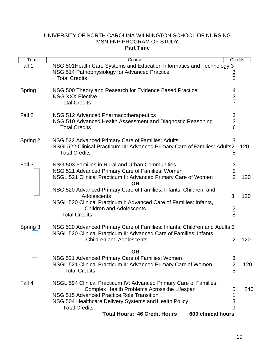# Fall 1 NSG 501Health Care Systems and Education Informatics and Technology 3 NSG 514 Pathophysiology for Advanced Practice<br>Total Credits 6 Total Credits 6 Spring 1 NSG 500 Theory and Research for Evidence Based Practice 4 NSG XXX Elective 3 Total Credits 7 Fall 2 NSG 512 Advanced Pharmacotherapeutics<br>NSG 510 Advanced Health Assessment and Diagnostic Reasoning 5<br>Total Credits NSG 510 Advanced Health Assessment and Diagnostic Reasoning 3 Total Credits 6 Spring 2 NSG 522 Advanced Primary Care of Families: Adults 3 NSGL522 Clinical Practicum III: Advanced Primary Care of Families: Adults2 120 Total Credits 5 Fall 3 NSG 503 Families in Rural and Urban Communities 3 NSG 521 Advanced Primary Care of Families: Women 3 NSGL 521 Clinical Practicum II: Advanced Primary Care of Women 2 120 **OR** NSG 520 Advanced Primary Care of Families: Infants, Children, and Adolescents 3 120 NSGL 520 Clinical Practicum I: Advanced Care of Families: Infants, Children and Adolescents<br>dits 38 Total Credits 8 Spring 3 NSG 520 Advanced Primary Care of Families: Infants, Children and Adults 3 NSGL 520 Clinical Practicum II: Advanced Care of Families: Infants, Children and Adolescents 2 120 **OR** NSG 521 Advanced Primary Care of Families: Women 3 NSGL 521 Clinical Practicum II: Advanced Primary Care of Women 2 120 Total Credits 5 Fall 4 NSGL 594 Clinical Practicum IV: Advanced Primary Care of Families: Complex Health Problems Across the Lifespan 5 240 NSG 515 Advanced Practice Role Transition 1 NSG 504 Healthcare Delivery Systems and Health Policy 33 Total Credits 9 **Total Hours: 46 Credit Hours 600 clinical hours** Term | Course Course Course | Credits

#### UNIVERSITY OF NORTH CAROLINA WILMINGTON SCHOOL OF NURSING MSN FNP PROGRAM OF STUDY **Part Time**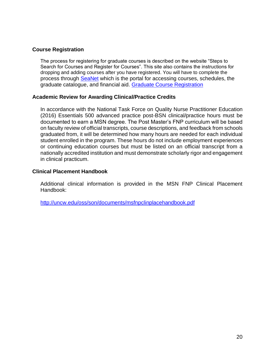#### <span id="page-19-0"></span>**Course Registration**

The process for registering for graduate courses is described on the website "Steps to Search for Courses and Register for Courses". This site also contains the instructions for dropping and adding courses after you have registered. You will have to complete the process through **SeaNet** which is the portal for accessing courses, schedules, the graduate catalogue, and financial aid. Graduate Course Registration

#### **Academic Review for Awarding Clinical/Practice Credits**

In accordance with the National Task Force on Quality Nurse Practitioner Education (2016) Essentials 500 advanced practice post-BSN clinical/practice hours must be documented to earn a MSN degree. The Post Master's FNP curriculum will be based on faculty review of official transcripts, course descriptions, and feedback from schools graduated from, it will be determined how many hours are needed for each individual student enrolled in the program. These hours do not include employment experiences or continuing education courses but must be listed on an official transcript from a nationally accredited institution and must demonstrate scholarly rigor and engagement in clinical practicum.

#### <span id="page-19-1"></span>**Clinical Placement Handbook**

Additional clinical information is provided in the MSN FNP Clinical Placement Handbook:

<http://uncw.edu/oss/son/documents/msfnpclinplacehandbook.pdf>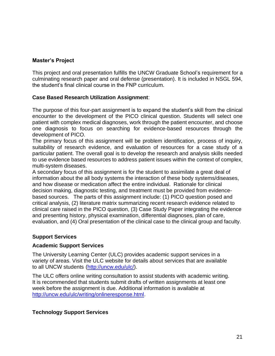## <span id="page-20-0"></span>**Master's Project**

This project and oral presentation fulfills the UNCW Graduate School's requirement for a culminating research paper and oral defense (presentation). It is included in NSGL 594, the student's final clinical course in the FNP curriculum.

## <span id="page-20-1"></span>**Case Based Research Utilization Assignment**:

The purpose of this four-part assignment is to expand the student's skill from the clinical encounter to the development of the PICO clinical question. Students will select one patient with complex medical diagnoses, work through the patient encounter, and choose one diagnosis to focus on searching for evidence-based resources through the development of PICO.

The primary focus of this assignment will be problem identification, process of inquiry, suitability of research evidence, and evaluation of resources for a case study of a particular patient. The overall goal is to develop the research and analysis skills needed to use evidence based resources to address patient issues within the context of complex, multi-system diseases.

A secondary focus of this assignment is for the student to assimilate a great deal of information about the all body systems the interaction of these body systems/diseases, and how disease or medication affect the entire individual. Rationale for clinical decision making, diagnostic testing, and treatment must be provided from evidencebased sources. The parts of this assignment include: (1) PICO question posed and critical analysis, (2) literature matrix summarizing recent research evidence related to clinical care raised in the PICO question, (3) Case Study Paper integrating the evidence and presenting history, physical examination, differential diagnoses, plan of care, evaluation, and (4) Oral presentation of the clinical case to the clinical group and faculty.

## **Support Services**

## <span id="page-20-2"></span>**Academic Support Services**

The University Learning Center (ULC) provides academic support services in a variety of areas. Visit the ULC website for details about services that are available to all UNCW students [\(http://uncw.edu/ulc/\).](http://uncw.edu/ulc/))

The ULC offers online writing consultation to assist students with academic writing. It is recommended that students submit drafts of written assignments at least one week before the assignment is due. Additional information is available at [http://uncw.edu/ulc/writing/onlineresponse.html.](http://uncw.edu/ulc/writing/onlineresponse.html)

## <span id="page-20-3"></span>**Technology Support Services**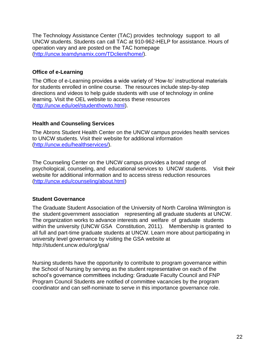The Technology Assistance Center (TAC) provides technology support to all UNCW students. Students can call TAC at 910-962-HELP for assistance. Hours of operation vary and are posted on the TAC homepage [\(http://uncw.teamdynamix.com/TDclient/home/\).](http://uncw.teamdynamix.com/TDclient/home/))

## <span id="page-21-0"></span>**Office of e-Learning**

The Office of e-Learning provides a wide variety of 'How-to' instructional materials for students enrolled in online course. The resources include step-by-step directions and videos to help guide students with use of technology in online learning. Visit the OEL website to access these resources [\(http://uncw.edu/oel/studenthowto.html\).](http://uncw.edu/oel/studenthowto.html))

## <span id="page-21-1"></span>**Health and Counseling Services**

The Abrons Student Health Center on the UNCW campus provides health services to UNCW students. Visit their website for additional information [\(http://uncw.edu/healthservices/\).](http://uncw.edu/healthservices/))

The Counseling Center on the UNCW campus provides a broad range of psychological, counseling, and educational services to UNCW students. Visit their website for additional information and to access stress reduction resources [\(http://uncw.edu/counseling/about.html\)](http://uncw.edu/counseling/about.html))

## <span id="page-21-2"></span>**Student Governance**

The Graduate Student Association of the University of North Carolina Wilmington is the student government association representing all graduate students at UNCW. The organization works to advance interests and welfare of graduate students within the university (UNCW GSA Constitution, 2011). Membership is granted to all full and part-time graduate students at UNCW. Learn more about participating in university level governance by visiting the GSA website at <http://student.uncw.edu/org/gsa/>

Nursing students have the opportunity to contribute to program governance within the School of Nursing by serving as the student representative on each of the school's governance committees including: Graduate Faculty Council and FNP Program Council Students are notified of committee vacancies by the program coordinator and can self-nominate to serve in this importance governance role.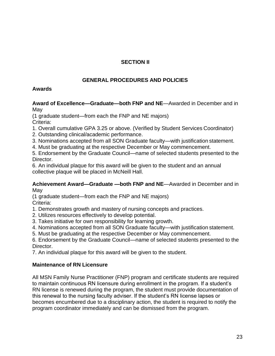# **SECTION II**

# **GENERAL PROCEDURES AND POLICIES**

# <span id="page-22-0"></span>**Awards**

**Award of Excellence—Graduate—both FNP and NE**—Awarded in December and in May

(1 graduate student—from each the FNP and NE majors) Criteria:

1. Overall cumulative GPA 3.25 or above. (Verified by Student Services Coordinator)

2. Outstanding clinical/academic performance.

3. Nominations accepted from all SON Graduate faculty—with justification statement.

4. Must be graduating at the respective December or May commencement.

5. Endorsement by the Graduate Council—name of selected students presented to the Director.

6. An individual plaque for this award will be given to the student and an annual collective plaque will be placed in McNeill Hall.

#### **Achievement Award—Graduate —both FNP and NE**—Awarded in December and in May

(1 graduate student—from each the FNP and NE majors) Criteria:

1. Demonstrates growth and mastery of nursing concepts and practices.

2. Utilizes resources effectively to develop potential.

3. Takes initiative for own responsibility for learning growth.

4. Nominations accepted from all SON Graduate faculty—with justification statement.

5. Must be graduating at the respective December or May commencement.

6. Endorsement by the Graduate Council—name of selected students presented to the Director.

7. An individual plaque for this award will be given to the student.

# <span id="page-22-1"></span>**Maintenance of RN Licensure**

All MSN Family Nurse Practitioner (FNP) program and certificate students are required to maintain continuous RN licensure during enrollment in the program. If a student's RN license is renewed during the program, the student must provide documentation of this renewal to the nursing faculty adviser. If the student's RN license lapses or becomes encumbered due to a disciplinary action, the student is required to notify the program coordinator immediately and can be dismissed from the program.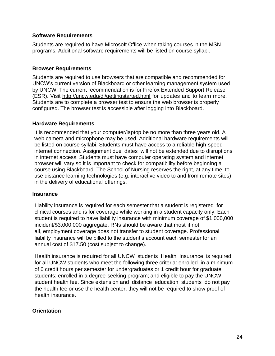#### **Software Requirements**

Students are required to have Microsoft Office when taking courses in the MSN programs. Additional software requirements will be listed on course syllabi.

#### **Browser Requirements**

Students are required to use browsers that are compatible and recommended for UNCW's current version of Blackboard or other learning management system used by UNCW. The current recommendation is for Firefox Extended Support Release (ESR). Visit <http://uncw.edu/dl/gettingstarted.html> for updates and to learn more. Students are to complete a browser test to ensure the web browser is properly configured. The browser test is accessible after logging into Blackboard.

#### <span id="page-23-0"></span>**Hardware Requirements**

It is recommended that your computer/laptop be no more than three years old. A web camera and microphone may be used. Additional hardware requirements will be listed on course syllabi. Students must have access to a reliable high-speed internet connection. Assignment due dates will not be extended due to disruptions in internet access. Students must have computer operating system and internet browser will vary so it is important to check for compatibility before beginning a course using Blackboard. The School of Nursing reserves the right, at any time, to use distance learning technologies (e.g. interactive video to and from remote sites) in the delivery of educational offerings.

#### <span id="page-23-1"></span>**Insurance**

Liability insurance is required for each semester that a student is registered for clinical courses and is for coverage while working in a student capacity only. Each student is required to have liability insurance with minimum coverage of \$1,000,000 incident/\$3,000,000 aggregate. RNs should be aware that most if not all, employment coverage does not transfer to student coverage. Professional liability insurance will be billed to the student's account each semester for an annual cost of \$17.50 (cost subject to change).

Health insurance is required for all UNCW students Health Insurance is required for all UNCW students who meet the following three criteria: enrolled in a minimum of 6 credit hours per semester for undergraduates or 1 credit hour for graduate students; enrolled in a degree-seeking program; and eligible to pay the UNCW student health fee. Since extension and distance education students do not pay the health fee or use the health center, they will not be required to show proof of health insurance.

#### <span id="page-23-2"></span>**Orientation**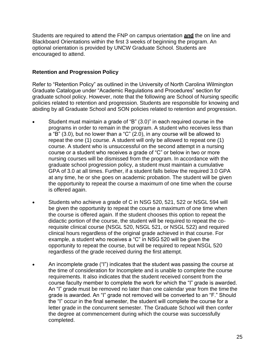Students are required to attend the FNP on campus orientation **and** the on line and Blackboard Orientations within the first 3 weeks of beginning the program. An optional orientation is provided by UNCW Graduate School. Students are encouraged to attend.

#### <span id="page-24-0"></span>**Retention and Progression Policy**

Refer to "Retention Policy" as outlined in the University of North Carolina Wilmington Graduate Catalogue under "Academic Regulations and Procedures" section for graduate school policy. However, note that the following are School of Nursing specific policies related to retention and progression. Students are responsible for knowing and abiding by all Graduate School and SON policies related to retention and progression.

- Student must maintain a grade of "B" (3.0)" in each required course in the programs in order to remain in the program. A student who receives less than a "B" (3.0), but no lower than a "C" (2.0), in any course will be allowed to repeat the one (1) course. A student will only be allowed to repeat one (1) course. A student who is unsuccessful on the second attempt in a nursing course or a student who receives a grade of "C" or below in two or more nursing courses will be dismissed from the program. In accordance with the graduate school progression policy, a student must maintain a cumulative GPA of 3.0 at all times. Further, if a student falls below the required 3.0 GPA at any time, he or she goes on academic probation. The student will be given the opportunity to repeat the course a maximum of one time when the course is offered again.
- Students who achieve a grade of C in NSG 520, 521, 522 or NSGL 594 will be given the opportunity to repeat the course a maximum of one time when the course is offered again. If the student chooses this option to repeat the didactic portion of the course, the student will be required to repeat the corequisite clinical course (NSGL 520, NSGL 521, or NSGL 522) and required clinical hours regardless of the original grade achieved in that course. For example, a student who receives a "C" in NSG 520 will be given the opportunity to repeat the course, but will be required to repeat NSGL 520 regardless of the grade received during the first attempt.
- An incomplete grade ("I") indicates that the student was passing the course at the time of consideration for Incomplete and is unable to complete the course requirements. It also indicates that the student received consent from the course faculty member to complete the work for which the "I" grade is awarded. An "I" grade must be removed no later than one calendar year from the time the grade is awarded. An "I" grade not removed will be converted to an "F." Should the "I" occur in the final semester, the student will complete the course for a letter grade in the concurrent semester. The Graduate School will then confer the degree at commencement during which the course was successfully completed.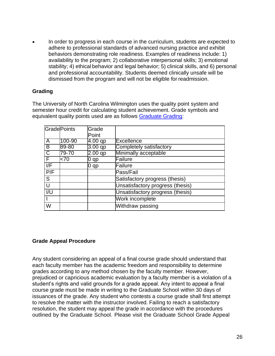In order to progress in each course in the curriculum, students are expected to adhere to professional standards of advanced nursing practice and exhibit behaviors demonstrating role readiness. Examples of readiness include: 1) availability to the program; 2) collaborative interpersonal skills; 3) emotional stability; 4) ethical behavior and legal behavior; 5) clinical skills, and 6) personal and professional accountability. Students deemed clinically unsafe will be dismissed from the program and will not be eligible for readmission.

## <span id="page-25-0"></span>**Grading**

The University of North Carolina Wilmington uses the quality point system and semester hour credit for calculating student achievement. Grade symbols and equivalent quality points used are as follows Graduate Grading:

|                       | GradePoints | Grade     |                                  |
|-----------------------|-------------|-----------|----------------------------------|
|                       |             | Point     |                                  |
| $\overline{A}$        | 100-90      | 4.00 qp   | <b>Excellence</b>                |
| $\overline{B}$        | 89-80       | $3.00$ qp | Completely satisfactory          |
| $\overline{\text{c}}$ | 79-70       | $2.00$ qp | Minimally acceptable             |
| F                     | $<$ 70      | 0 qp      | Failure                          |
| I/F                   |             | $0$ qp    | Failure                          |
| P/F                   |             |           | Pass/Fail                        |
| S                     |             |           | Satisfactory progress (thesis)   |
| U                     |             |           | Unsatisfactory progress (thesis) |
| $\overline{U}$        |             |           | Unsatisfactory progress (thesis) |
|                       |             |           | Work incomplete                  |
| W                     |             |           | Withdraw passing                 |

## **Grade Appeal Procedure**

Any student considering an appeal of a final course grade should understand that each faculty member has the academic freedom and responsibility to determine grades according to any method chosen by the faculty member. However, prejudiced or capricious academic evaluation by a faculty member is a violation of a student's rights and valid grounds for a grade appeal. Any intent to appeal a final course grade must be made in writing to the Graduate School within 30 days of issuances of the grade. Any student who contests a course grade shall first attempt to resolve the matter with the instructor involved. Failing to reach a satisfactory resolution, the student may appeal the grade in accordance with the procedures outlined by the Graduate School. Please visit the Graduate School Grade Appeal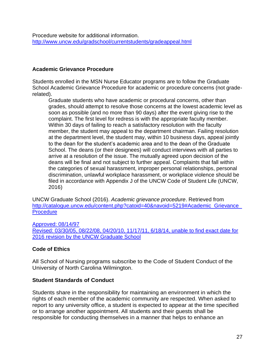Procedure website for additional information. <http://www.uncw.edu/gradschool/currentstudents/gradeappeal.html>

#### <span id="page-26-0"></span>**Academic Grievance Procedure**

Students enrolled in the MSN Nurse Educator programs are to follow the Graduate School Academic Grievance Procedure for academic or procedure concerns (not graderelated).

Graduate students who have academic or procedural concerns, other than grades, should attempt to resolve those concerns at the lowest academic level as soon as possible (and no more than 90 days) after the event giving rise to the complaint. The first level for redress is with the appropriate faculty member. Within 30 days of failing to reach a satisfactory resolution with the faculty member, the student may appeal to the department chairman. Failing resolution at the department level, the student may, within 10 business days, appeal jointly to the dean for the student's academic area and to the dean of the Graduate School. The deans (or their designees) will conduct interviews with all parties to arrive at a resolution of the issue. The mutually agreed upon decision of the deans will be final and not subject to further appeal. Complaints that fall within the categories of sexual harassment, improper personal relationships, personal discrimination, unlawful workplace harassment, or workplace violence should be filed in accordance with Appendix J of the UNCW Code of Student Life (UNCW, 2016)

UNCW Graduate School (2016). *Academic grievance procedure*. Retrieved from http://catalogue.uncw.edu/content.php?catoid=40&navoid=5219#Academic\_Grievance **Procedure** 

Approved: 08/14/97 Revised: 03/30/05, 08/22/08, 04/20/10, 11/17/11, 6/18/14, unable to find exact date for 2016 revision by the UNCW Graduate School

## <span id="page-26-1"></span>**Code of Ethics**

All School of Nursing programs subscribe to the Code of Student Conduct of the University of North Carolina Wilmington.

## <span id="page-26-2"></span>**Student Standards of Conduct**

Students share in the responsibility for maintaining an environment in which the rights of each member of the academic community are respected. When asked to report to any university office, a student is expected to appear at the time specified or to arrange another appointment. All students and their guests shall be responsible for conducting themselves in a manner that helps to enhance an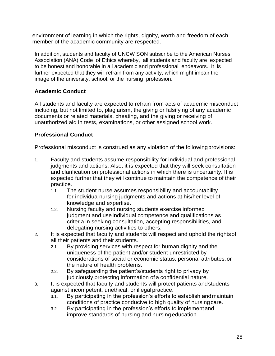environment of learning in which the rights, dignity, worth and freedom of each member of the academic community are respected.

In addition, students and faculty of UNCW SON subscribe to the American Nurses Association (ANA) Code of Ethics whereby, all students and faculty are expected to be honest and honorable in all academic and professional endeavors. It is further expected that they will refrain from any activity, which might impair the image of the university, school, or the nursing profession.

## <span id="page-27-0"></span>**Academic Conduct**

All students and faculty are expected to refrain from acts of academic misconduct including, but not limited to, plagiarism, the giving or falsifying of any academic documents or related materials, cheating, and the giving or receiving of unauthorized aid in tests, examinations, or other assigned school work.

## <span id="page-27-1"></span>**Professional Conduct**

Professional misconduct is construed as any violation of the followingprovisions:

- 1. Faculty and students assume responsibility for individual and professional judgments and actions. Also, it is expected that they will seek consultation and clarification on professional actions in which there is uncertainty. It is expected further that they will continue to maintain the competence of their practice.
	- 1.1. The student nurse assumes responsibility and accountability for individualnursing judgments and actions at his/her level of knowledge and expertise.
	- 1.2. Nursing faculty and nursing students exercise informed judgment and use individual competence and qualifications as criteria in seeking consultation, accepting responsibilities, and delegating nursing activities to others.
- 2. It is expected that faculty and students will respect and uphold the rightsof all their patients and their students.
	- 2.1. By providing services with respect for human dignity and the uniqueness of the patient and/or student unrestricted by considerations of social or economic status, personal attributes,or the nature of health problems.
	- 2.2. By safeguarding the patient's/students right to privacy by judiciously protecting information of a confidential nature.
- 3. It is expected that faculty and students will protect patients andstudents against incompetent, unethical, or illegal practice.
	- 3.1. By participating in the profession's efforts to establish andmaintain conditions of practice conducive to high quality of nursingcare.
	- 3.2. By participating in the profession's efforts to implementand improve standards of nursing and nursing education.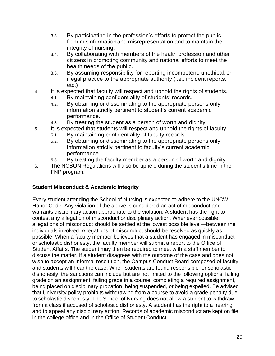- 3.3. By participating in the profession's efforts to protect the public from misinformation and misrepresentation and to maintain the integrity of nursing.
- 3.4. By collaborating with members of the health profession and other citizens in promoting community and national efforts to meet the health needs of the public.
- 3.5. By assuming responsibility for reporting incompetent, unethical, or illegal practice to the appropriate authority (i.e., incident reports, etc.)
- 4. It is expected that faculty will respect and uphold the rights of students.
	- 4.1. By maintaining confidentiality of students' records.
	- 4.2. By obtaining or disseminating to the appropriate persons only information strictly pertinent to student's current academic performance.
	- 4.3. By treating the student as a person of worth and dignity.
- 5. It is expected that students will respect and uphold the rights of faculty.
	- 5.1. By maintaining confidentiality of faculty records.
	- 5.2. By obtaining or disseminating to the appropriate persons only information strictly pertinent to faculty's current academic performance.
	- 5.3. By treating the faculty member as a person of worth and dignity.
- 6. The NCBON Regulations will also be upheld during the student's time in the FNP program.

## <span id="page-28-0"></span>**Student Misconduct & Academic Integrity**

Every student attending the School of Nursing is expected to adhere to the UNCW Honor Code. Any violation of the above is considered an act of misconduct and warrants disciplinary action appropriate to the violation. A student has the right to contest any allegation of misconduct or disciplinary action. Whenever possible, allegations of misconduct should be settled at the lowest possible level—between the individuals involved. Allegations of misconduct should be resolved as quickly as possible. When a faculty member believes that a student has engaged in misconduct or scholastic dishonesty, the faculty member will submit a report to the Office of Student Affairs. The student may then be required to meet with a staff member to discuss the matter. If a student disagrees with the outcome of the case and does not wish to accept an informal resolution, the Campus Conduct Board composed of faculty and students will hear the case. When students are found responsible for scholastic dishonesty, the sanctions can include but are not limited to the following options: failing grade on an assignment, failing grade in a course, completing a required assignment, being placed on disciplinary probation, being suspended, or being expelled. Be advised that University policy prohibits withdrawing from a course to avoid a grade penalty due to scholastic dishonesty. The School of Nursing does not allow a student to withdraw from a class if accused of scholastic dishonesty. A student has the right to a hearing and to appeal any disciplinary action. Records of academic misconduct are kept on file in the college office and in the Office of Student Conduct.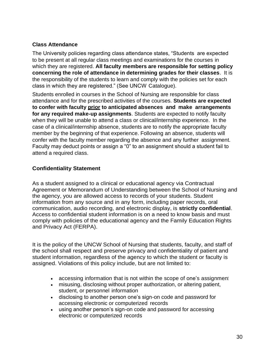## <span id="page-29-0"></span>**Class Attendance**

The University policies regarding class attendance states, "Students are expected to be present at all regular class meetings and examinations for the courses in which they are registered. **All faculty members are responsible for setting policy concerning the role of attendance in determining grades for their classes**. It is the responsibility of the students to learn and comply with the policies set for each class in which they are registered." (See UNCW Catalogue).

Students enrolled in courses in the School of Nursing are responsible for class attendance and for the prescribed activities of the courses. **Students are expected to confer with faculty prior to anticipated absences and make arrangements for any required make-up assignments**. Students are expected to notify faculty when they will be unable to attend a class or clinical/internship experience. In the case of a clinical/internship absence, students are to notify the appropriate faculty member by the beginning of that experience. Following an absence, students will confer with the faculty member regarding the absence and any further assignment. Faculty may deduct points or assign a "0" to an assignment should a student fail to attend a required class.

## <span id="page-29-1"></span>**Confidentiality Statement**

As a student assigned to a clinical or educational agency via Contractual Agreement or Memorandum of Understanding between the School of Nursing and the agency, you are allowed access to records of your students. Student information from any source and in any form, including paper records, oral communication, audio recording, and electronic display, is **strictly confidential**. Access to confidential student information is on a need to know basis and must comply with policies of the educational agency and the Family Education Rights and Privacy Act (FERPA).

It is the policy of the UNCW School of Nursing that students, faculty, and staff of the school shall respect and preserve privacy and confidentiality of patient and student information, regardless of the agency to which the student or faculty is assigned. Violations of this policy include, but are not limited to:

- accessing information that is not within the scope of one's assignment
- misusing, disclosing without proper authorization, or altering patient, student, or personnel information
- disclosing to another person one's sign-on code and password for accessing electronic or computerized records
- using another person's sign-on code and password for accessing electronic or computerized records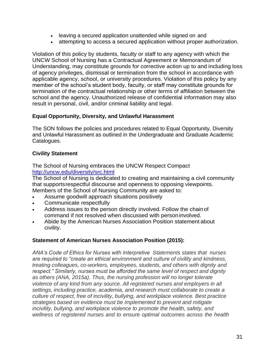- leaving a secured application unattended while signed on and
- attempting to access a secured application without proper authorization.

Violation of this policy by students, faculty or staff to any agency with which the UNCW School of Nursing has a Contractual Agreement or Memorandum of Understanding, may constitute grounds for corrective action up to and including loss of agency privileges, dismissal or termination from the school in accordance with applicable agency, school, or university procedures. Violation of this policy by any member of the school's student body, faculty, or staff may constitute grounds for termination of the contractual relationship or other terms of affiliation between the school and the agency. Unauthorized release of confidential information may also result in personal, civil, and/or criminal liability and legal.

## <span id="page-30-0"></span>**Equal Opportunity, Diversity, and Unlawful Harassment**

The SON follows the policies and procedures related to Equal Opportunity, Diversity and Unlawful Harassment as outlined in the Undergraduate and Graduate Academic Catalogues.

## <span id="page-30-1"></span>**Civility Statement**

The School of Nursing embraces the UNCW Respect Compact <http://uncw.edu/diversity/src.html>

The School of Nursing is dedicated to creating and maintaining a civil community that supportsrespectful discourse and openness to opposing viewpoints. Members of the School of Nursing Community are asked to:

- Assume goodwill approach situations positively
- Communicate respectfully
- Address issues to the person directly involved. Follow the chainof command if not resolved when discussed with personinvolved.
- Abide by the American Nurses Association Position statement about civility.

## <span id="page-30-2"></span>**Statement of American Nurses Association Position (2015):**

*ANA's Code of Ethics for Nurses with Interpretive Statements states that nurses are required to "create an ethical environment and culture of civility and kindness, treating colleagues, co-workers, employees, students, and others with dignity and respect." Similarly, nurses must be afforded the same level of respect and dignity as others (ANA, 2015a). Thus, the nursing profession will no longer tolerate violence of any kind from any source. All registered nurses and employers in all settings, including practice, academia, and research must collaborate to create a culture of respect, free of incivility, bullying, and workplace violence. Best practice strategies based on evidence must be implemented to prevent and mitigate incivility, bullying, and workplace violence to promote the health, safety, and wellness of registered nurses and to ensure optimal outcomes across the health*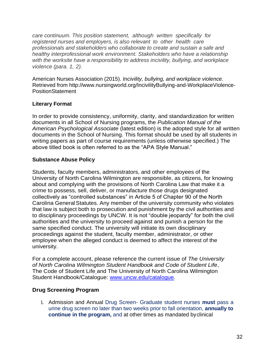*care continuum. This position statement, although written specifically for registered nurses and employers, is also relevant to other health care professionals and stakeholders who collaborate to create and sustain a safe and healthy interprofessional work environment. Stakeholders who have a relationship with the worksite have a responsibility to address incivility, bullying, and workplace violence (para. 1, 2).*

American Nurses Association (2015). *Incivility, bullying, and workplace violence.*  Retrieved from<http://www.nursingworld.org/IncivilityBullying-and-WorkplaceViolence->**PositionStatement** 

## <span id="page-31-0"></span>**Literary Format**

In order to provide consistency, uniformity, clarity, and standardization for written documents in all School of Nursing programs, the *Publication Manual of the American Psychological Associate* (latest edition) is the adopted style for all written documents in the School of Nursing. This format should be used by all students in writing papers as part of course requirements (unless otherwise specified.) The above titled book is often referred to as the "APA Style Manual."

## <span id="page-31-1"></span>**Substance Abuse Policy**

Students, faculty members, administrators, and other employees of the University of North Carolina Wilmington are responsible, as citizens, for knowing about and complying with the provisions of North Carolina Law that make it a crime to possess, sell, deliver, or manufacture those drugs designated collectively as "controlled substances" in Article 5 of Chapter 90 of the North Carolina GeneralStatutes. Any member of the university community who violates that law is subject both to prosecution and punishment by the civil authorities and to disciplinary proceedings by UNCW. It is not "double jeopardy" for both the civil authorities and the university to proceed against and punish a person for the same specified conduct. The university will initiate its own disciplinary proceedings against the student, faculty member, administrator, or other employee when the alleged conduct is deemed to affect the interest of the university.

For a complete account, please reference the current issue of *The University of North Carolina Wilmington Student Handbook and Code of Student Life*, The Code of Student Life and The University of North Carolina Wilmington Student Handbook/Catalogue: [www.uncw.edu/catalogue.](http://www.uncw.edu/catalogue)

# <span id="page-31-2"></span>**Drug Screening Program**

1. Admission and Annual Drug Screen- Graduate student nurses **must** pass a urine drug screen no later than two weeks prior to fall orientation, **annually to continue in the program,** and at other times as mandated byclinical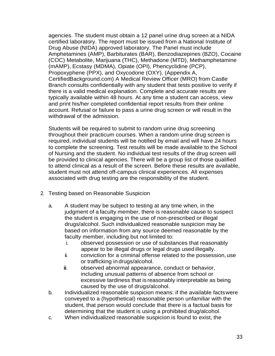agencies. The student must obtain a 12 panel urine drug screen at a NIDA certified laboratory. The report must be issued from a National Institute of Drug Abuse (NIDA) approved laboratory. The Panel must include Amphetamines (AMP), Barbiturates (BAR), Benzodiazepines (BZO), Cocaine (COC) Metabolite, Marijuana (THC), Methadone (MTD), Methamphetamine (mAMP), Ecstasy (MDMA), Opiate (OPI), Phencyclidine (PCP), Propoxyphene (PPX), and Oxycodone (OXY). (Appendix A, CertifiedBackground.com) A Medical Review Officer (MRO) from Castle Branch consults confidentially with any student that tests positive to verify if there is a valid medical explanation. Complete and accurate results are typically available within 48 hours. At any time a student can access, view and print his/her completed confidential report results from their online account. Refusal or failure to pass a urine drug screen or will result in the withdrawal of the admission.

Students will be required to submit to random urine drug screening throughout their practicum courses. When a random urine drug screen is required, individual students will be notified by email and will have 24 hours to complete the screening. Test results will be made available to the School of Nursing and the student. No individual test results of the drug screen will be provided to clinical agencies. There will be a group list of those qualified to attend clinical as a result of the screen. Before these results are available, student must not attend off-campus clinical experiences. All expenses associated with drug testing are the responsibility of the student.

- 2. Testing based on Reasonable Suspicion
	- a. A student may be subject to testing at any time when, in the judgment of a faculty member, there is reasonable cause to suspect the student is engaging in the use of non-prescribed or illegal drugs/alcohol. Such individualized reasonable suspicion may be based on information from any source deemed reasonable by the faculty member, including but not limited to:
		- i. observed possession or use of substances that reasonably appear to be illegal drugs or legal drugs used illegally.
		- ii. conviction for a criminal offense related to the possession, use or trafficking in drugs/alcohol.
		- iii. observed abnormal appearance, conduct or behavior, including unusual patterns of absence from school or excessive tardiness that is reasonably interpretable as being caused by the use of drugs/alcohol.
	- b. Individualized reasonable suspicion means: if the available factswere conveyed to a (hypothetical) reasonable person unfamiliar with the student, that person would conclude that there is a factual basis for determining that the student is using a prohibited drug/alcohol.
	- c. When individualized reasonable suspicion is found to exist, the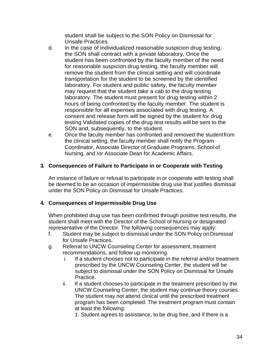student shall be subject to the SON Policy on Dismissal for Unsafe Practices.

- d. In the case of individualized reasonable suspicion drug testing, the SON shall contract with a private laboratory. Once the student has been confronted by the faculty member of the need for reasonable suspicion drug testing, the faculty member will remove the student from the clinical setting and will coordinate transportation for the student to be screened by the identified laboratory. For student and public safety, the faculty member may request that the student take a cab to the drug testing laboratory. The student must present for drug testing within 2 hours of being confronted by the faculty member. The student is responsible for all expenses associated with drug testing. A consent and release form will be signed by the student for drug testing Validated copies of the drug test results will be sent to the SON and, subsequently, to the student.
- e. Once the faculty member has confronted and removed the studentfrom the clinical setting, the faculty member shall notify the Program Coordinator, Associate Director of Graduate Programs, School of Nursing, and /or Associate Dean for Academic Affairs.

#### **3. Consequences of Failure to Participate in or Cooperate with Testing**

An instance of failure or refusal to participate in or cooperate with testing shall be deemed to be an occasion of impermissible drug use that justifies dismissal under the SON Policy on Dismissal for Unsafe Practices.

## **4. Consequences of Impermissible Drug Use**

When prohibited drug use has been confirmed through positive test results, the student shall meet with the Director of the School of Nursing or designated representative of the Director. The following consequences may apply:

- f. Student may be subject to dismissal under the SON Policy on Dismissal for Unsafe Practices.
- g. Referral to UNCW Counseling Center for assessment, treatment recommendations, and follow up monitoring.
	- i. If a student chooses not to participate in the referral and/or treatment prescribed by the UNCW Counseling Center, the student will be subject to dismissal under the SON Policy on Dismissal for Unsafe Practice.
	- ii. If a student chooses to participate in the treatment prescribed by the UNCW Counseling Center, the student may continue theory courses. The student may not attend clinical until the prescribed treatment program has been completed. The treatment program must contain at least the following:

1. Student agrees to assistance, to be drug free, and if there is a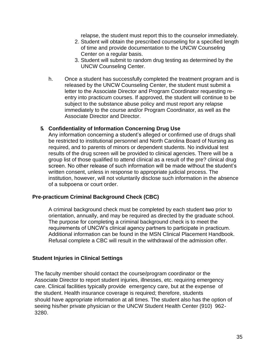relapse, the student must report this to the counselor immediately.

- 2. Student will obtain the prescribed counseling for a specified length of time and provide documentation to the UNCW Counseling Center on a regular basis.
- 3. Student will submit to random drug testing as determined by the UNCW Counseling Center.
- h. Once a student has successfully completed the treatment program and is released by the UNCW Counseling Center, the student must submit a letter to the Associate Director and Program Coordinator requesting reentry into practicum courses. If approved, the student will continue to be subject to the substance abuse policy and must report any relapse immediately to the course and/or Program Coordinator, as well as the Associate Director and Director.

#### **5. Confidentiality of Information Concerning Drug Use**

Any information concerning a student's alleged or confirmed use of drugs shall be restricted to institutional personnel and North Carolina Board of Nursing as required, and to parents of minors or dependent students. No individual test results of the drug screen will be provided to clinical agencies. There will be a group list of those qualified to attend clinical as a result of the pre? clinical drug screen. No other release of such information will be made without the student's written consent, unless in response to appropriate judicial process. The institution, however, will not voluntarily disclose such information in the absence of a subpoena or court order.

#### <span id="page-34-0"></span>**Pre-practicum Criminal Background Check (CBC)**

A criminal background check must be completed by each student two prior to orientation, annually, and may be required as directed by the graduate school. The purpose for completing a criminal background check is to meet the requirements of UNCW's clinical agency partners to participate in practicum. Additional information can be found in the MSN Clinical Placement Handbook. Refusal complete a CBC will result in the withdrawal of the admission offer.

#### <span id="page-34-1"></span>**Student Injuries in Clinical Settings**

The faculty member should contact the course/program coordinator or the Associate Director to report student injuries, illnesses, etc. requiring emergency care. Clinical facilities typically provide emergency care, but at the expense of the student. Health insurance coverage is required; therefore, students should have appropriate information at all times. The student also has the option of seeing his/her private physician or the UNCW Student Health Center (910) 962- 3280.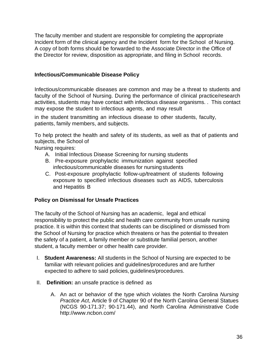The faculty member and student are responsible for completing the appropriate Incident form of the clinical agency and the Incident form for the School of Nursing. A copy of both forms should be forwarded to the Associate Director in the Office of the Director for review, disposition as appropriate, and filing in School records.

#### <span id="page-35-0"></span>**Infectious/Communicable Disease Policy**

Infectious/communicable diseases are common and may be a threat to students and faculty of the School of Nursing. During the performance of clinical practice/research activities, students may have contact with infectious disease organisms. . This contact may expose the student to infectious agents, and may result

in the student transmitting an infectious disease to other students, faculty, patients, family members, and subjects.

To help protect the health and safety of its students, as well as that of patients and subjects, the School of

Nursing requires:

- A. Initial Infectious Disease Screening for nursing students
- B. Pre-exposure prophylactic immunization against specified infectious/communicable diseases for nursing students
- C. Post-exposure prophylactic follow-up/treatment of students following exposure to specified infectious diseases such as AIDS, tuberculosis and Hepatitis B

## <span id="page-35-1"></span>**Policy on Dismissal for Unsafe Practices**

The faculty of the School of Nursing has an academic, legal and ethical responsibility to protect the public and health care community from unsafe nursing practice. It is within this context that students can be disciplined or dismissed from the School of Nursing for practice which threatens or has the potential to threaten the safety of a patient, a family member or substitute familial person, another student, a faculty member or other health care provider.

- I. **Student Awareness:** All students in the School of Nursing are expected to be familiar with relevant policies and guidelines/procedures and are further expected to adhere to said policies, guidelines/procedures.
- II. **Definition:** an unsafe practice is defined as
	- A. An act or behavior of the type which violates the North Carolina *Nursing Practice Act*, Article 9 of Chapter 90 of the North Carolina General Statues (NCGS 90-171.37; 90-171.44), and North Carolina Administrative Code <http://www.ncbon.com/>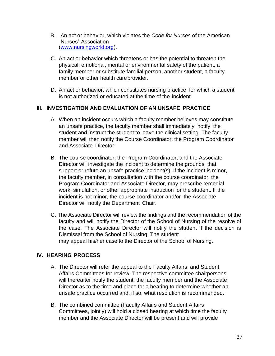- B. An act or behavior, which violates the *Code for Nurses* of the American Nurses' Association (www.nursingworld.org).
- C. An act or behavior which threatens or has the potential to threaten the physical, emotional, mental or environmental safety of the patient, a family member or substitute familial person, another student, a faculty member or other health careprovider.
- D. An act or behavior, which constitutes nursing practice for which a student is not authorized or educated at the time of the incident.

## **III. INVESTIGATION AND EVALUATION OF AN UNSAFE PRACTICE**

- A. When an incident occurs which a faculty member believes may constitute an unsafe practice, the faculty member shall immediately notify the student and instruct the student to leave the clinical setting. The faculty member will then notify the Course Coordinator, the Program Coordinator and Associate Director
- B. The course coordinator, the Program Coordinator, and the Associate Director will investigate the incident to determine the grounds that support or refute an unsafe practice incident(s). If the incident is minor, the faculty member, in consultation with the course coordinator, the Program Coordinator and Associate Director, may prescribe remedial work, simulation, or other appropriate instruction for the student. If the incident is not minor, the course coordinator and/or the Associate Director will notify the Department Chair.
- C. The Associate Director will review the findings and the recommendation of the faculty and will notify the Director of the School of Nursing of the resolve of the case. The Associate Director will notify the student if the decision is Dismissal from the School of Nursing. The student may appeal his/her case to the Director of the School of Nursing.

# **IV. HEARING PROCESS**

- A. The Director will refer the appeal to the Faculty Affairs and Student Affairs Committees for review. The respective committee chairpersons, will thereafter notify the student, the faculty member and the Associate Director as to the time and place for a hearing to determine whether an unsafe practice occurred and, if so, what resolution is recommended.
- B. The combined committee (Faculty Affairs and Student Affairs Committees, jointly) will hold a closed hearing at which time the faculty member and the Associate Director will be present and will provide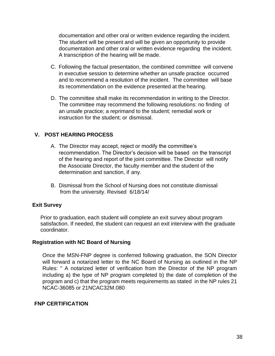documentation and other oral or written evidence regarding the incident. The student will be present and will be given an opportunity to provide documentation and other oral or written evidence regarding the incident. A transcription of the hearing will be made.

- C. Following the factual presentation, the combined committee will convene in executive session to determine whether an unsafe practice occurred and to recommend a resolution of the incident. The committee will base its recommendation on the evidence presented at the hearing.
- D. The committee shall make its recommendation in writing to the Director. The committee may recommend the following resolutions: no finding of an unsafe practice; a reprimand to the student; remedial work or instruction for the student; or dismissal.

## **V. POST HEARING PROCESS**

- A. The Director may accept, reject or modify the committee's recommendation. The Director's decision will be based on the transcript of the hearing and report of the joint committee. The Director will notify the Associate Director, the faculty member and the student of the determination and sanction, if any.
- B. Dismissal from the School of Nursing does not constitute dismissal from the university. Revised 6/18/14/

## <span id="page-37-0"></span>**Exit Survey**

Prior to graduation, each student will complete an exit survey about program satisfaction. If needed, the student can request an exit interview with the graduate coordinator.

#### <span id="page-37-1"></span>**Registration with NC Board of Nursing**

Once the MSN-FNP degree is conferred following graduation, the SON Director will forward a notarized letter to the NC Board of Nursing as outlined in the NP Rules: " A notarized letter of verification from the Director of the NP program including a) the type of NP program completed b) the date of completion of the program and c) that the program meets requirements as stated in the NP rules 21 NCAC-36085 or 21NCAC32M.080

#### **FNP CERTIFICATION**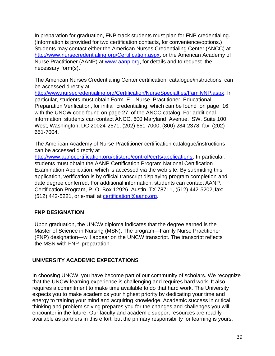In preparation for graduation, FNP-track students must plan for FNP credentialing. (Information is provided for two certification contacts, for convenience/options.) Students may contact either the American Nurses Credentialing Center (ANCC) at [http://www.nursecredentialing.org/Certification.aspx,](http://www.nursecredentialing.org/Certification.aspx) or the American Academy of Nurse Practitioner (AANP) at [www.aanp.org,](http://www.aanp.org/) for details and to request the necessary form(s).

The American Nurses Credentialing Center certification catalogue/instructions can be accessed directly at

[http://www.nursecredentialing.org/Certification/NurseSpecialties/FamilyNP.aspx. I](http://www.nursecredentialing.org/Certification/NurseSpecialties/FamilyNP.aspx)n particular, students must obtain Form E—Nurse Practitioner Educational Preparation Verification, for initial credentialing, which can be found on page 16, with the UNCW code found on page 27, of the ANCC catalog. For additional information, students can contact ANCC, 600 Maryland Avenue, SW, Suite 100 West, Washington, DC 20024-2571, (202) 651-7000, (800) 284-2378, fax: (202) 651-7004.

The American Academy of Nurse Practitioner certification catalogue/instructions can be accessed directly at

[http://www.aanpcertification.org/ptistore/control/certs/applications.](http://www.aanpcertification.org/ptistore/control/certs/applications) In particular, students must obtain the AANP Certification Program National Certification Examination Application, which is accessed via the web site. By submitting this application, verification is by official transcript displaying program completion and date degree conferred. For additional information, students can contact AANP, Certification Program, P. O. Box 12926, Austin, TX 78711, (512) 442-5202, fax: (512) 442-5221, or e-mail at [certification@aanp.org.](mailto:certification@aanp.org)

# <span id="page-38-0"></span>**FNP DESIGNATION**

Upon graduation, the UNCW diploma indicates that the degree earned is the Master of Science in Nursing (MSN). The program—Family Nurse Practitioner (FNP) designation—will appear on the UNCW transcript. The transcript reflects the MSN with FNP preparation.

# <span id="page-38-1"></span>**UNIVERSITY ACADEMIC EXPECTATIONS**

In choosing UNCW, you have become part of our community of scholars. We recognize that the UNCW learning experience is challenging and requires hard work. It also requires a commitment to make time available to do that hard work. The University expects you to make academics your highest priority by dedicating your time and energy to training your mind and acquiring knowledge. Academic success in critical thinking and problem solving prepares you for the changes and challenges you will encounter in the future. Our faculty and academic support resources are readily available as partners in this effort, but the primary responsibility for learning is yours.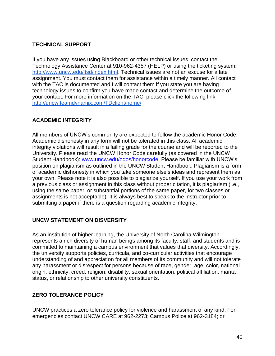# <span id="page-39-0"></span>**TECHNICAL SUPPORT**

If you have any issues using Blackboard or other technical issues, contact the Technology Assistance Center at 910-962-4357 (HELP) or using the ticketing system: [http://www.uncw.edu/itsd/index.html. T](http://www.uncw.edu/itsd/index.html)echnical issues are not an excuse for a late assignment. You must contact them for assistance within a timely manner. All contact with the TAC is documented and I will contact them if you state you are having technology issues to confirm you have made contact and determine the outcome of your contact. For more information on the TAC, please click the following link: <http://uncw.teamdynamix.com/TDclient/home/>

## <span id="page-39-1"></span>**ACADEMIC INTEGRITY**

All members of UNCW's community are expected to follow the academic Honor Code. Academic dishonesty in any form will not be tolerated in this class. All academic integrity violations will result in a failing grade for the course and will be reported to the University. Please read the UNCW Honor Code carefully (as covered in the UNCW Student Handbook): [www.uncw.edu/odos/honorcode. P](http://www.uncw.edu/odos/honorcode)lease be familiar with UNCW's position on plagiarism as outlined in the UNCW Student Handbook. Plagiarism is a form of academic dishonesty in which you take someone else's ideas and represent them as your own. Please note it is also possible to plagiarize yourself. If you use your work from a previous class or assignment in this class without proper citation, it is plagiarism (i.e., using the same paper, or substantial portions of the same paper, for two classes or assignments is not acceptable). It is always best to speak to the instructor prior to submitting a paper if there is a question regarding academic integrity.

## **UNCW STATEMENT ON DISVERSITY**

As an institution of higher learning, the University of North Carolina Wilmington represents a rich diversity of human beings among its faculty, staff, and students and is committed to maintaining a campus environment that values that diversity. Accordingly, the university supports policies, curricula, and co-curricular activities that encourage understanding of and appreciation for all members of its community and will not tolerate any harassment or disrespect for persons because of race, gender, age, color, national origin, ethnicity, creed, religion, disability, sexual orientation, political affiliation, marital status, or relationship to other university constituents.

# <span id="page-39-2"></span>**ZERO TOLERANCE POLICY**

UNCW practices a zero tolerance policy for violence and harassment of any kind. For emergencies contact UNCW CARE at 962-2273; Campus Police at 962-3184; or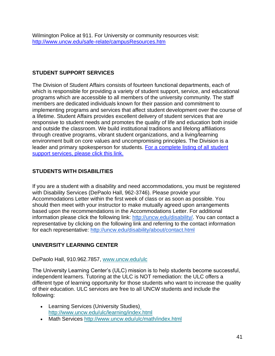# <span id="page-40-0"></span>**STUDENT SUPPORT SERVICES**

The Division of Student Affairs consists of fourteen functional departments, each of which is responsible for providing a variety of student support, service, and educational programs which are accessible to all members of the university community. The staff members are dedicated individuals known for their passion and commitment to implementing programs and services that affect student development over the course of a lifetime. Student Affairs provides excellent delivery of student services that are responsive to student needs and promotes the quality of life and education both inside and outside the classroom. We build institutional traditions and lifelong affiliations through creative programs, vibrant student organizations, and a living/learning environment built on core values and uncompromising principles. The Division is a leader and primary spokesperson for students. For a complete listing of all student support services, please click this link.

# **STUDENTS WITH DISABILITIES**

If you are a student with a disability and need accommodations, you must be registered with Disability Services (DePaolo Hall, 962-3746). Please provide your Accommodations Letter within the first week of class or as soon as possible. You should then meet with your instructor to make mutually agreed upon arrangements based upon the recommendations in the Accommodations Letter. For additional information please click the following link: [http://uncw.edu/disability/. Y](http://uncw.edu/disability/)ou can contact a representative by clicking on the following link and referring to the contact information for each representative:<http://uncw.edu/disability/about/contact.html>

# <span id="page-40-1"></span>**UNIVERSITY LEARNING CENTER**

DePaolo Hall, 910.962.7857, [www.uncw.edu/ulc](http://www.uncw.edu/ulc)

The University Learning Center's (ULC) mission is to help students become successful, independent learners. Tutoring at the ULC is NOT remediation: the ULC offers a different type of learning opportunity for those students who want to increase the quality of their education. ULC services are free to all UNCW students and include the following:

- Learning Services (University Studies) <http://www.uncw.edu/ulc/learning/index.html>
- Math Services <http://www.uncw.edu/ulc/math/index.html>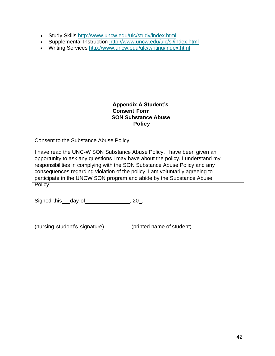- Study Skills <http://www.uncw.edu/ulc/study/index.html>
- Supplemental Instruction <http://www.uncw.edu/ulc/si/index.html>
- Writing Services <http://www.uncw.edu/ulc/writing/index.html>

#### **Appendix A Student's Consent Form SON Substance Abuse Policy**

Consent to the Substance Abuse Policy

I have read the UNC-W SON Substance Abuse Policy. I have been given an opportunity to ask any questions I may have about the policy. I understand my responsibilities in complying with the SON Substance Abuse Policy and any consequences regarding violation of the policy. I am voluntarily agreeing to participate in the UNCW SON program and abide by the Substance Abuse Policy.

Signed this day of  $\qquad \qquad .20$ .

(nursing student's signature) (printed name of student)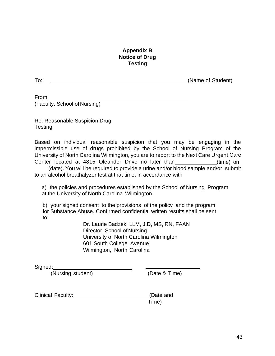## **Appendix B Notice of Drug Testing**

<span id="page-42-0"></span>To: (Name of Student)

From: (Faculty, School of Nursing)

Re: Reasonable Suspicion Drug Testing

Based on individual reasonable suspicion that you may be engaging in the impermissible use of drugs prohibited by the School of Nursing Program of the University of North Carolina Wilmington, you are to report to the Next Care Urgent Care Center located at 4815 Oleander Drive no later than \_\_\_\_\_\_\_\_\_\_\_\_\_(time) on

(date). You will be required to provide a urine and/or blood sample and/or submit to an alcohol breathalyzer test at that time, in accordance with

a) the policies and procedures established by the School of Nursing Program at the University of North Carolina Wilmington.

b) your signed consent to the provisions of the policy and the program for Substance Abuse. Confirmed confidential written results shall be sent to:

> Dr. Laurie Badzek, LLM, J.D, MS, RN, FAAN Director, School of Nursing University of North Carolina Wilmington 601 South College Avenue Wilmington, North Carolina

Signed:

(Nursing student) (Date & Time)

Clinical Faculty:\_\_\_\_\_\_\_\_\_\_\_\_\_\_\_\_\_\_\_\_\_\_\_\_\_\_\_(Date and

Time)